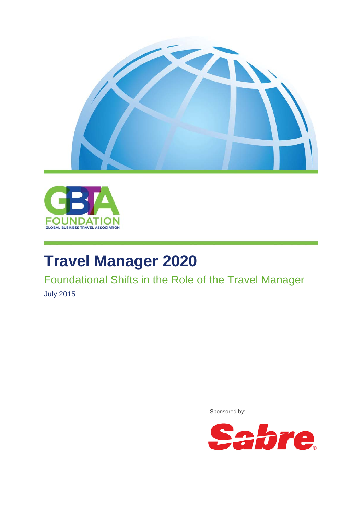



# **Travel Manager 2020**

Foundational Shifts in the Role of the Travel Manager

July 2015

Sponsored by:

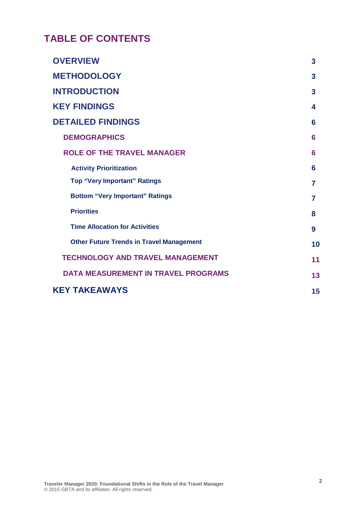## **TABLE OF CONTENTS**

| <b>OVERVIEW</b>                                 | 3              |
|-------------------------------------------------|----------------|
| <b>METHODOLOGY</b>                              | 3              |
| <b>INTRODUCTION</b>                             | 3              |
| <b>KEY FINDINGS</b>                             | 4              |
| <b>DETAILED FINDINGS</b>                        | 6              |
| <b>DEMOGRAPHICS</b>                             | 6              |
| <b>ROLE OF THE TRAVEL MANAGER</b>               | 6              |
| <b>Activity Prioritization</b>                  | 6              |
| <b>Top "Very Important" Ratings</b>             | $\overline{7}$ |
| <b>Bottom "Very Important" Ratings</b>          | 7              |
| <b>Priorities</b>                               | 8              |
| <b>Time Allocation for Activities</b>           | 9              |
| <b>Other Future Trends in Travel Management</b> | 10             |
| <b>TECHNOLOGY AND TRAVEL MANAGEMENT</b>         | 11             |
| <b>DATA MEASUREMENT IN TRAVEL PROGRAMS</b>      | 13             |
| <b>KEY TAKEAWAYS</b>                            | 15             |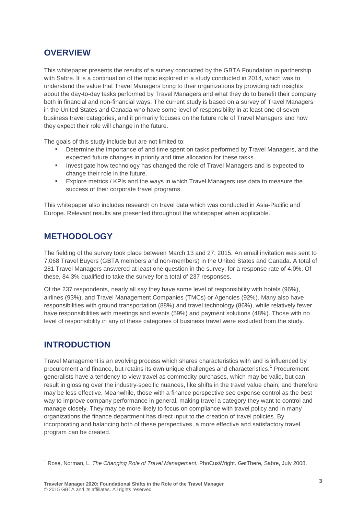## **OVERVIEW**

This whitepaper presents the results of a survey conducted by the GBTA Foundation in partnership with Sabre. It is a continuation of the topic explored in a study conducted in 2014, which was to understand the value that Travel Managers bring to their organizations by providing rich insights about the day-to-day tasks performed by Travel Managers and what they do to benefit their company both in financial and non-financial ways. The current study is based on a survey of Travel Managers in the United States and Canada who have some level of responsibility in at least one of seven business travel categories, and it primarily focuses on the future role of Travel Managers and how they expect their role will change in the future.

The goals of this study include but are not limited to:

- Determine the importance of and time spent on tasks performed by Travel Managers, and the expected future changes in priority and time allocation for these tasks.
- **Investigate how technology has changed the role of Travel Managers and is expected to** change their role in the future.
- Explore metrics / KPIs and the ways in which Travel Managers use data to measure the success of their corporate travel programs.

This whitepaper also includes research on travel data which was conducted in Asia-Pacific and Europe. Relevant results are presented throughout the whitepaper when applicable.

## **METHODOLOGY**

The fielding of the survey took place between March 13 and 27, 2015. An email invitation was sent to 7,068 Travel Buyers (GBTA members and non-members) in the United States and Canada. A total of 281 Travel Managers answered at least one question in the survey, for a response rate of 4.0%. Of these, 84.3% qualified to take the survey for a total of 237 responses.

Of the 237 respondents, nearly all say they have some level of responsibility with hotels (96%), airlines (93%), and Travel Management Companies (TMCs) or Agencies (92%). Many also have responsibilities with ground transportation (88%) and travel technology (86%), while relatively fewer have responsibilities with meetings and events (59%) and payment solutions (48%). Those with no level of responsibility in any of these categories of business travel were excluded from the study.

## **INTRODUCTION**

-

Travel Management is an evolving process which shares characteristics with and is influenced by procurement and finance, but retains its own unique challenges and characteristics. [1](#page-2-0) Procurement generalists have a tendency to view travel as commodity purchases, which may be valid, but can result in glossing over the industry-specific nuances, like shifts in the travel value chain, and therefore may be less effective. Meanwhile, those with a finance perspective see expense control as the best way to improve company performance in general, making travel a category they want to control and manage closely. They may be more likely to focus on compliance with travel policy and in many organizations the finance department has direct input to the creation of travel policies. By incorporating and balancing both of these perspectives, a more effective and satisfactory travel program can be created.

<span id="page-2-0"></span><sup>1</sup> Rose, Norman, L. *The Changing Role of Travel Management.* PhoCusWright*,* GetThere, Sabre, July 2008.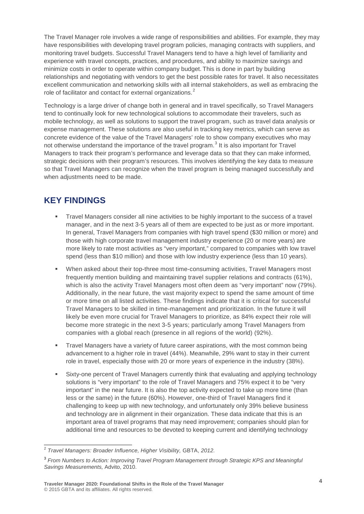The Travel Manager role involves a wide range of responsibilities and abilities. For example, they may have responsibilities with developing travel program policies, managing contracts with suppliers, and monitoring travel budgets. Successful Travel Managers tend to have a high level of familiarity and experience with travel concepts, practices, and procedures, and ability to maximize savings and minimize costs in order to operate within company budget. This is done in part by building relationships and negotiating with vendors to get the best possible rates for travel. It also necessitates excellent communication and networking skills with all internal stakeholders, as well as embracing the role of facilitator and contact for external organizations.<sup>[2](#page-3-0)</sup>

Technology is a large driver of change both in general and in travel specifically, so Travel Managers tend to continually look for new technological solutions to accommodate their travelers, such as mobile technology, as well as solutions to support the travel program, such as travel data analysis or expense management. These solutions are also useful in tracking key metrics, which can serve as concrete evidence of the value of the Travel Managers' role to show company executives who may not otherwise understand the importance of the travel program.<sup>[3](#page-3-1)</sup> It is also important for Travel Managers to track their program's performance and leverage data so that they can make informed, strategic decisions with their program's resources. This involves identifying the key data to measure so that Travel Managers can recognize when the travel program is being managed successfully and when adjustments need to be made.

## **KEY FINDINGS**

- Travel Managers consider all nine activities to be highly important to the success of a travel manager, and in the next 3-5 years all of them are expected to be just as or more important. In general, Travel Managers from companies with high travel spend (\$30 million or more) and those with high corporate travel management industry experience (20 or more years) are more likely to rate most activities as "very important," compared to companies with low travel spend (less than \$10 million) and those with low industry experience (less than 10 years).
- When asked about their top-three most time-consuming activities, Travel Managers most frequently mention building and maintaining travel supplier relations and contracts (61%), which is also the activity Travel Managers most often deem as "very important" now (79%). Additionally, in the near future, the vast majority expect to spend the same amount of time or more time on all listed activities. These findings indicate that it is critical for successful Travel Managers to be skilled in time-management and prioritization. In the future it will likely be even more crucial for Travel Managers to prioritize, as 84% expect their role will become more strategic in the next 3-5 years; particularly among Travel Managers from companies with a global reach (presence in all regions of the world) (92%).
- **Travel Managers have a variety of future career aspirations, with the most common being** advancement to a higher role in travel (44%). Meanwhile, 29% want to stay in their current role in travel, especially those with 20 or more years of experience in the industry (38%).
- Sixty-one percent of Travel Managers currently think that evaluating and applying technology solutions is "very important" to the role of Travel Managers and 75% expect it to be "very important" in the near future. It is also the top activity expected to take up more time (than less or the same) in the future (60%). However, one-third of Travel Managers find it challenging to keep up with new technology, and unfortunately only 39% believe business and technology are in alignment in their organization. These data indicate that this is an important area of travel programs that may need improvement; companies should plan for additional time and resources to be devoted to keeping current and identifying technology

<span id="page-3-0"></span> <sup>2</sup> *Travel Managers: Broader Influence, Higher Visibility,* GBTA, *2012.*

<span id="page-3-1"></span><sup>3</sup> *From Numbers to Action: Improving Travel Program Management through Strategic KPS and Meaningful Savings Measurements,* Advito, 2010.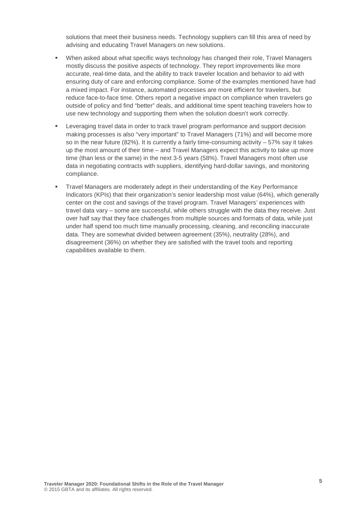solutions that meet their business needs. Technology suppliers can fill this area of need by advising and educating Travel Managers on new solutions.

- When asked about what specific ways technology has changed their role, Travel Managers mostly discuss the positive aspects of technology. They report improvements like more accurate, real-time data, and the ability to track traveler location and behavior to aid with ensuring duty of care and enforcing compliance. Some of the examples mentioned have had a mixed impact. For instance, automated processes are more efficient for travelers, but reduce face-to-face time. Others report a negative impact on compliance when travelers go outside of policy and find "better" deals, and additional time spent teaching travelers how to use new technology and supporting them when the solution doesn't work correctly.
- **EXECT** Leveraging travel data in order to track travel program performance and support decision making processes is also "very important" to Travel Managers (71%) and will become more so in the near future (82%). It is currently a fairly time-consuming activity – 57% say it takes up the most amount of their time – and Travel Managers expect this activity to take up more time (than less or the same) in the next 3-5 years (58%). Travel Managers most often use data in negotiating contracts with suppliers, identifying hard-dollar savings, and monitoring compliance.
- Travel Managers are moderately adept in their understanding of the Key Performance Indicators (KPIs) that their organization's senior leadership most value (64%), which generally center on the cost and savings of the travel program. Travel Managers' experiences with travel data vary – some are successful, while others struggle with the data they receive. Just over half say that they face challenges from multiple sources and formats of data, while just under half spend too much time manually processing, cleaning, and reconciling inaccurate data. They are somewhat divided between agreement (35%), neutrality (28%), and disagreement (36%) on whether they are satisfied with the travel tools and reporting capabilities available to them.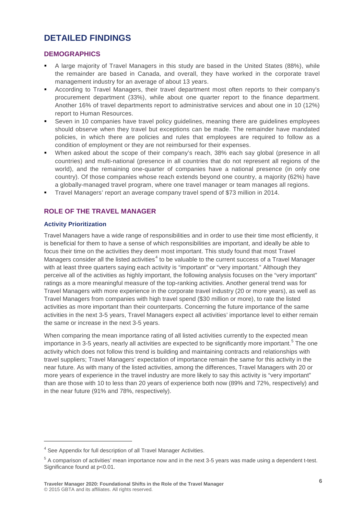## **DETAILED FINDINGS**

#### **DEMOGRAPHICS**

- A large majority of Travel Managers in this study are based in the United States (88%), while the remainder are based in Canada, and overall, they have worked in the corporate travel management industry for an average of about 13 years.
- According to Travel Managers, their travel department most often reports to their company's procurement department (33%), while about one quarter report to the finance department. Another 16% of travel departments report to administrative services and about one in 10 (12%) report to Human Resources.
- Seven in 10 companies have travel policy guidelines, meaning there are guidelines employees should observe when they travel but exceptions can be made. The remainder have mandated policies, in which there are policies and rules that employees are required to follow as a condition of employment or they are not reimbursed for their expenses.
- When asked about the scope of their company's reach, 38% each say global (presence in all countries) and multi-national (presence in all countries that do not represent all regions of the world), and the remaining one-quarter of companies have a national presence (in only one country). Of those companies whose reach extends beyond one country, a majority (62%) have a globally-managed travel program, where one travel manager or team manages all regions.
- Travel Managers' report an average company travel spend of \$73 million in 2014.

#### **ROLE OF THE TRAVEL MANAGER**

#### **Activity Prioritization**

-

Travel Managers have a wide range of responsibilities and in order to use their time most efficiently, it is beneficial for them to have a sense of which responsibilities are important, and ideally be able to focus their time on the activities they deem most important. This study found that most Travel Managers consider all the listed activities<sup>[4](#page-5-0)</sup> to be valuable to the current success of a Travel Manager with at least three quarters saying each activity is "important" or "very important." Although they perceive all of the activities as highly important, the following analysis focuses on the "very important" ratings as a more meaningful measure of the top-ranking activities. Another general trend was for Travel Managers with more experience in the corporate travel industry (20 or more years), as well as Travel Managers from companies with high travel spend (\$30 million or more), to rate the listed activities as more important than their counterparts. Concerning the future importance of the same activities in the next 3-5 years, Travel Managers expect all activities' importance level to either remain the same or increase in the next 3-5 years.

When comparing the mean importance rating of all listed activities currently to the expected mean importance in 3-[5](#page-5-1) years, nearly all activities are expected to be significantly more important.<sup>5</sup> The one activity which does not follow this trend is building and maintaining contracts and relationships with travel suppliers; Travel Managers' expectation of importance remain the same for this activity in the near future. As with many of the listed activities, among the differences, Travel Managers with 20 or more years of experience in the travel industry are more likely to say this activity is "very important" than are those with 10 to less than 20 years of experience both now (89% and 72%, respectively) and in the near future (91% and 78%, respectively).

<span id="page-5-0"></span><sup>4</sup> See Appendix for full description of all Travel Manager Activities.

<span id="page-5-1"></span><sup>5</sup> A comparison of activities' mean importance now and in the next 3-5 years was made using a dependent t-test. Significance found at  $p<0.01$ .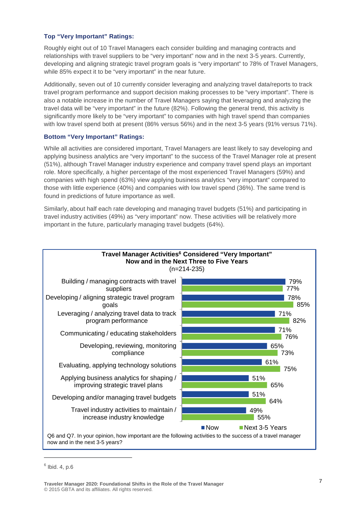#### **Top "Very Important" Ratings:**

Roughly eight out of 10 Travel Managers each consider building and managing contracts and relationships with travel suppliers to be "very important" now and in the next 3-5 years. Currently, developing and aligning strategic travel program goals is "very important" to 78% of Travel Managers, while 85% expect it to be "very important" in the near future.

Additionally, seven out of 10 currently consider leveraging and analyzing travel data/reports to track travel program performance and support decision making processes to be "very important". There is also a notable increase in the number of Travel Managers saying that leveraging and analyzing the travel data will be "very important" in the future (82%). Following the general trend, this activity is significantly more likely to be "very important" to companies with high travel spend than companies with low travel spend both at present (86% versus 56%) and in the next 3-5 years (91% versus 71%).

#### **Bottom "Very Important" Ratings:**

While all activities are considered important, Travel Managers are least likely to say developing and applying business analytics are "very important" to the success of the Travel Manager role at present (51%), although Travel Manager industry experience and company travel spend plays an important role. More specifically, a higher percentage of the most experienced Travel Managers (59%) and companies with high spend (63%) view applying business analytics "very important" compared to those with little experience (40%) and companies with low travel spend (36%). The same trend is found in predictions of future importance as well.

Similarly, about half each rate developing and managing travel budgets (51%) and participating in travel industry activities (49%) as "very important" now. These activities will be relatively more important in the future, particularly managing travel budgets ([6](#page-6-0)4%).



<span id="page-6-0"></span> $6$  Ibid. 4, p.6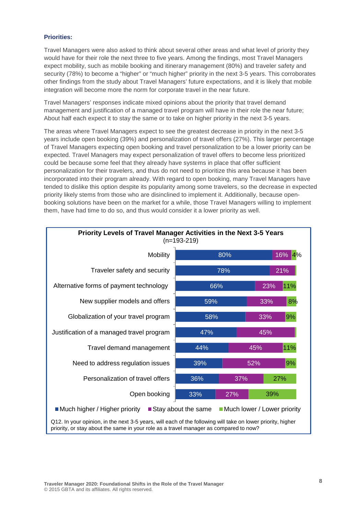#### **Priorities:**

Travel Managers were also asked to think about several other areas and what level of priority they would have for their role the next three to five years. Among the findings, most Travel Managers expect mobility, such as mobile booking and itinerary management (80%) and traveler safety and security (78%) to become a "higher" or "much higher" priority in the next 3-5 years. This corroborates other findings from the study about Travel Managers' future expectations, and it is likely that mobile integration will become more the norm for corporate travel in the near future.

Travel Managers' responses indicate mixed opinions about the priority that travel demand management and justification of a managed travel program will have in their role the near future; About half each expect it to stay the same or to take on higher priority in the next 3-5 years.

The areas where Travel Managers expect to see the greatest decrease in priority in the next 3-5 years include open booking (39%) and personalization of travel offers (27%). This larger percentage of Travel Managers expecting open booking and travel personalization to be a lower priority can be expected. Travel Managers may expect personalization of travel offers to become less prioritized could be because some feel that they already have systems in place that offer sufficient personalization for their travelers, and thus do not need to prioritize this area because it has been incorporated into their program already. With regard to open booking, many Travel Managers have tended to dislike this option despite its popularity among some travelers, so the decrease in expected priority likely stems from those who are disinclined to implement it. Additionally, because openbooking solutions have been on the market for a while, those Travel Managers willing to implement them, have had time to do so, and thus would consider it a lower priority as well.



**Traveler Manager 2020: Foundational Shifts in the Role of the Travel Manager** © 2015 GBTA and its affiliates. All rights reserved.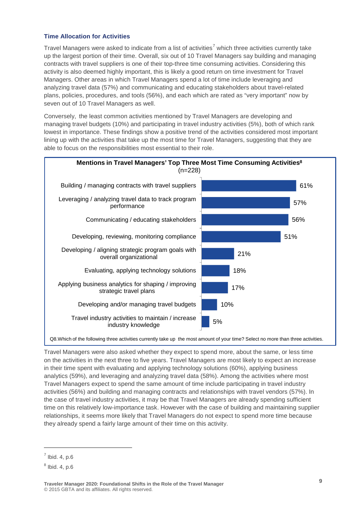#### **Time Allocation for Activities**

Travel Managers were asked to indicate from a list of activities<sup>[7](#page-8-0)</sup> which three activities currently take up the largest portion of their time. Overall, six out of 10 Travel Managers say building and managing contracts with travel suppliers is one of their top-three time consuming activities. Considering this activity is also deemed highly important, this is likely a good return on time investment for Travel Managers. Other areas in which Travel Managers spend a lot of time include leveraging and analyzing travel data (57%) and communicating and educating stakeholders about travel-related plans, policies, procedures, and tools (56%), and each which are rated as "very important" now by seven out of 10 Travel Managers as well.

Conversely, the least common activities mentioned by Travel Managers are developing and managing travel budgets (10%) and participating in travel industry activities (5%), both of which rank lowest in importance. These findings show a positive trend of the activities considered most important lining up with the activities that take up the most time for Travel Managers, suggesting that they are able to focus on the responsibilities most essential to their role.



Travel Managers were also asked whether they expect to spend more, about the same, or less time on the activities in the next three to five years. Travel Managers are most likely to expect an increase in their time spent with evaluating and applying technology solutions (60%), applying business analytics (59%), and leveraging and analyzing travel data (58%). Among the activities where most Travel Managers expect to spend the same amount of time include participating in travel industry activities (56%) and building and managing contracts and relationships with travel vendors (57%). In the case of travel industry activities, it may be that Travel Managers are already spending sufficient time on this relatively low-importance task. However with the case of building and maintaining supplier relationships, it seems more likely that Travel Managers do not expect to spend more time because they already spend a fairly large amount of their time on this activity.

<span id="page-8-0"></span> $<sup>7</sup>$  Ibid. 4, p.6</sup>

<span id="page-8-1"></span> $8$  Ibid. 4, p.6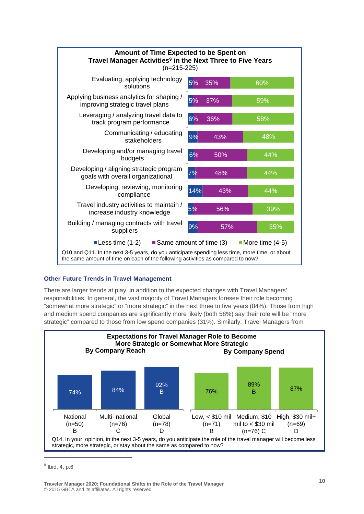

#### **Other Future Trends in Travel Management [9](#page-9-0)**

There are larger trends at play, in addition to the expected changes with Travel Managers' responsibilities. In general, the vast majority of Travel Managers foresee their role becoming "somewhat more strategic" or "more strategic" in the next three to five years (84%). Those from high and medium spend companies are significantly more likely (both 58%) say their role will be "more strategic" compared to those from low spend companies (31%). Similarly, Travel Managers from



<span id="page-9-0"></span> $<sup>9</sup>$  Ibid. 4, p.6</sup>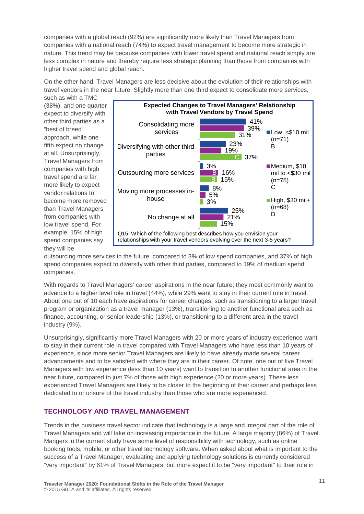companies with a global reach (92%) are significantly more likely than Travel Managers from companies with a national reach (74%) to expect travel management to become more strategic in nature. This trend may be because companies with lower travel spend and national reach simply are less complex in nature and thereby require less strategic planning than those from companies with higher travel spend and global reach.

On the other hand, Travel Managers are less decisive about the evolution of their relationships with travel vendors in the near future. Slightly more than one third expect to consolidate more services,

such as with a TMC (38%), and one quarter expect to diversify with other third parties as a "best of breed" approach, while one fifth expect no change at all. Unsurprisingly, Travel Managers from companies with high travel spend are far more likely to expect vendor relations to become more removed than Travel Managers from companies with low travel spend. For example, 15% of high spend companies say they will be



outsourcing more services in the future, compared to 3% of low spend companies, and 37% of high spend companies expect to diversify with other third parties, compared to 19% of medium spend companies.

With regards to Travel Managers' career aspirations in the near future; they most commonly want to advance to a higher level role in travel (44%), while 29% want to stay in their current role in travel. About one out of 10 each have aspirations for career changes, such as transitioning to a larger travel program or organization as a travel manager (13%), transitioning to another functional area such as finance, accounting, or senior leadership (13%), or transitioning to a different area in the travel industry (9%).

Unsurprisingly, significantly more Travel Managers with 20 or more years of industry experience want to stay in their current role in travel compared with Travel Managers who have less than 10 years of experience, since more senior Travel Managers are likely to have already made several career advancements and to be satisfied with where they are in their career. Of note, one out of five Travel Managers with low experience (less than 10 years) want to transition to another functional area in the near future, compared to just 7% of those with high experience (20 or more years). These less experienced Travel Managers are likely to be closer to the beginning of their career and perhaps less dedicated to or unsure of the travel industry than those who are more experienced.

#### **TECHNOLOGY AND TRAVEL MANAGEMENT**

Trends in the business travel sector indicate that technology is a large and integral part of the role of Travel Managers and will take on increasing importance in the future. A large majority (86%) of Travel Mangers in the current study have some level of responsibility with technology, such as online booking tools, mobile, or other travel technology software. When asked about what is important to the success of a Travel Manager, evaluating and applying technology solutions is currently considered "very important" by 61% of Travel Managers, but more expect it to be "very important" to their role in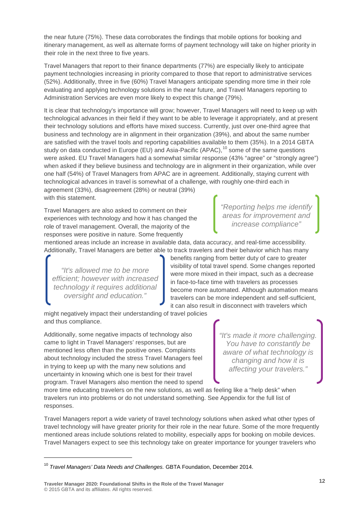the near future (75%). These data corroborates the findings that mobile options for booking and itinerary management, as well as alternate forms of payment technology will take on higher priority in their role in the next three to five years.

Travel Managers that report to their finance departments (77%) are especially likely to anticipate payment technologies increasing in priority compared to those that report to administrative services (52%). Additionally, three in five (60%) Travel Managers anticipate spending more time in their role evaluating and applying technology solutions in the near future, and Travel Managers reporting to Administration Services are even more likely to expect this change (79%).

It is clear that technology's importance will grow; however, Travel Managers will need to keep up with technological advances in their field if they want to be able to leverage it appropriately, and at present their technology solutions and efforts have mixed success. Currently, just over one-third agree that business and technology are in alignment in their organization (39%), and about the same number are satisfied with the travel tools and reporting capabilities available to them (35%). In a 2014 GBTA study on data conducted in Europe (EU) and Asia-Pacific (APAC),<sup>[10](#page-11-0)</sup> some of the same questions were asked. EU Travel Managers had a somewhat similar response (43% "agree" or "strongly agree") when asked if they believe business and technology are in alignment in their organization, while over one half (54%) of Travel Managers from APAC are in agreement. Additionally, staying current with technological advances in travel is somewhat of a challenge, with roughly one-third each in agreement (33%), disagreement (28%) or neutral (39%) with this statement.

Travel Managers are also asked to comment on their experiences with technology and how it has changed the role of travel management. Overall, the majority of the responses were positive in nature. Some frequently

*"Reporting helps me identify areas for improvement and increase compliance"*

mentioned areas include an increase in available data, data accuracy, and real-time accessibility. Additionally, Travel Managers are better able to track travelers and their behavior which has many

*"It's allowed me to be more efficient; however with increased technology it requires additional oversight and education."*

benefits ranging from better duty of care to greater visibility of total travel spend. Some changes reported were more mixed in their impact, such as a decrease in face-to-face time with travelers as processes become more automated. Although automation means travelers can be more independent and self-sufficient, it can also result in disconnect with travelers which

might negatively impact their understanding of travel policies and thus compliance.

Additionally, some negative impacts of technology also came to light in Travel Managers' responses, but are mentioned less often than the positive ones. Complaints about technology included the stress Travel Managers feel in trying to keep up with the many new solutions and uncertainty in knowing which one is best for their travel program. Travel Managers also mention the need to spend *"It's made it more challenging. You have to constantly be aware of what technology is changing and how it is affecting your travelers."*

more time educating travelers on the new solutions, as well as feeling like a "help desk" when travelers run into problems or do not understand something. See Appendix for the full list of responses.

Travel Managers report a wide variety of travel technology solutions when asked what other types of travel technology will have greater priority for their role in the near future. Some of the more frequently mentioned areas include solutions related to mobility, especially apps for booking on mobile devices. Travel Managers expect to see this technology take on greater importance for younger travelers who

**Traveler Manager 2020: Foundational Shifts in the Role of the Travel Manager** © 2015 GBTA and its affiliates. All rights reserved.

<span id="page-11-0"></span><sup>10</sup> *Travel Managers' Data Needs and Challenges.* GBTA Foundation, December 2014.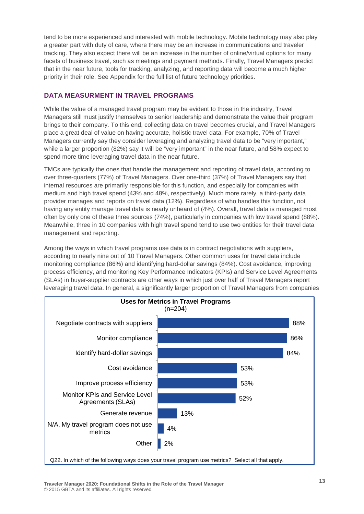tend to be more experienced and interested with mobile technology. Mobile technology may also play a greater part with duty of care, where there may be an increase in communications and traveler tracking. They also expect there will be an increase in the number of online/virtual options for many facets of business travel, such as meetings and payment methods. Finally, Travel Managers predict that in the near future, tools for tracking, analyzing, and reporting data will become a much higher priority in their role. See Appendix for the full list of future technology priorities.

#### **DATA MEASURMENT IN TRAVEL PROGRAMS**

While the value of a managed travel program may be evident to those in the industry, Travel Managers still must justify themselves to senior leadership and demonstrate the value their program brings to their company. To this end, collecting data on travel becomes crucial, and Travel Managers place a great deal of value on having accurate, holistic travel data. For example, 70% of Travel Managers currently say they consider leveraging and analyzing travel data to be "very important," while a larger proportion (82%) say it will be "very important" in the near future, and 58% expect to spend more time leveraging travel data in the near future.

TMCs are typically the ones that handle the management and reporting of travel data, according to over three-quarters (77%) of Travel Managers. Over one-third (37%) of Travel Managers say that internal resources are primarily responsible for this function, and especially for companies with medium and high travel spend (43% and 48%, respectively). Much more rarely, a third-party data provider manages and reports on travel data (12%). Regardless of who handles this function, not having any entity manage travel data is nearly unheard of (4%). Overall, travel data is managed most often by only one of these three sources (74%), particularly in companies with low travel spend (88%). Meanwhile, three in 10 companies with high travel spend tend to use two entities for their travel data management and reporting.

Among the ways in which travel programs use data is in contract negotiations with suppliers, according to nearly nine out of 10 Travel Managers. Other common uses for travel data include monitoring compliance (86%) and identifying hard-dollar savings (84%). Cost avoidance, improving process efficiency, and monitoring Key Performance Indicators (KPIs) and Service Level Agreements (SLAs) in buyer-supplier contracts are other ways in which just over half of Travel Managers report leveraging travel data. In general, a significantly larger proportion of Travel Managers from companies

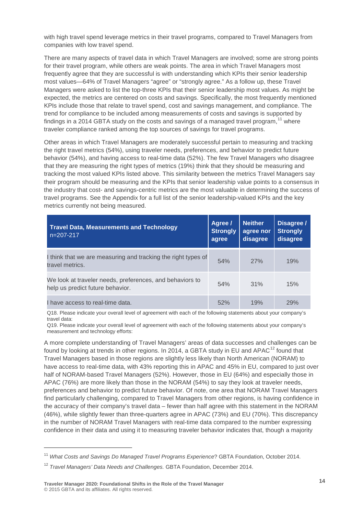with high travel spend leverage metrics in their travel programs, compared to Travel Managers from companies with low travel spend.

There are many aspects of travel data in which Travel Managers are involved; some are strong points for their travel program, while others are weak points. The area in which Travel Managers most frequently agree that they are successful is with understanding which KPIs their senior leadership most values—64% of Travel Managers "agree" or "strongly agree." As a follow up, these Travel Managers were asked to list the top-three KPIs that their senior leadership most values. As might be expected, the metrics are centered on costs and savings. Specifically, the most frequently mentioned KPIs include those that relate to travel spend, cost and savings management, and compliance. The trend for compliance to be included among measurements of costs and savings is supported by findings in a 2014 GBTA study on the costs and savings of a managed travel program,  $^{11}$  $^{11}$  $^{11}$  where traveler compliance ranked among the top sources of savings for travel programs.

Other areas in which Travel Managers are moderately successful pertain to measuring and tracking the right travel metrics (54%), using traveler needs, preferences, and behavior to predict future behavior (54%), and having access to real-time data (52%). The few Travel Managers who disagree that they are measuring the right types of metrics (19%) think that they should be measuring and tracking the most valued KPIs listed above. This similarity between the metrics Travel Managers say their program should be measuring and the KPIs that senior leadership value points to a consensus in the industry that cost- and savings-centric metrics are the most valuable in determining the success of travel programs. See the Appendix for a full list of the senior leadership-valued KPIs and the key metrics currently not being measured.

| <b>Travel Data, Measurements and Technology</b><br>$n=207-217$                               | Agree /<br><b>Strongly</b><br>agree | <b>Neither</b><br>agree nor<br>disagree | Disagree /<br><b>Strongly</b><br>disagree |
|----------------------------------------------------------------------------------------------|-------------------------------------|-----------------------------------------|-------------------------------------------|
| I think that we are measuring and tracking the right types of<br>travel metrics.             | 54%                                 | 27%                                     | 19%                                       |
| We look at traveler needs, preferences, and behaviors to<br>help us predict future behavior. | 54%                                 | 31%                                     | 15%                                       |
| I have access to real-time data.                                                             | 52%                                 | 19%                                     | 29%                                       |

Q18. Please indicate your overall level of agreement with each of the following statements about your company's travel data:

Q19. Please indicate your overall level of agreement with each of the following statements about your company's measurement and technology efforts:

A more complete understanding of Travel Managers' areas of data successes and challenges can be found by looking at trends in other regions. In 2014, a GBTA study in EU and APAC<sup>[12](#page-13-1)</sup> found that Travel Managers based in those regions are slightly less likely than North American (NORAM) to have access to real-time data, with 43% reporting this in APAC and 45% in EU, compared to just over half of NORAM-based Travel Managers (52%). However, those in EU (64%) and especially those in APAC (76%) are more likely than those in the NORAM (54%) to say they look at traveler needs, preferences and behavior to predict future behavior. Of note, one area that NORAM Travel Managers find particularly challenging, compared to Travel Managers from other regions, is having confidence in the accuracy of their company's travel data – fewer than half agree with this statement in the NORAM (46%), while slightly fewer than three-quarters agree in APAC (73%) and EU (70%). This discrepancy in the number of NORAM Travel Managers with real-time data compared to the number expressing confidence in their data and using it to measuring traveler behavior indicates that, though a majority

<span id="page-13-0"></span><sup>11</sup> *What Costs and Savings Do Managed Travel Programs Experience*? GBTA Foundation, October 2014.

<span id="page-13-1"></span><sup>12</sup> *Travel Managers' Data Needs and Challenges.* GBTA Foundation, December 2014.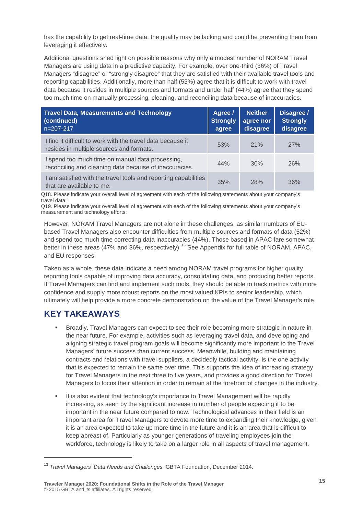has the capability to get real-time data, the quality may be lacking and could be preventing them from leveraging it effectively.

Additional questions shed light on possible reasons why only a modest number of NORAM Travel Managers are using data in a predictive capacity. For example, over one-third (36%) of Travel Managers "disagree" or "strongly disagree" that they are satisfied with their available travel tools and reporting capabilities. Additionally, more than half (53%) agree that it is difficult to work with travel data because it resides in multiple sources and formats and under half (44%) agree that they spend too much time on manually processing, cleaning, and reconciling data because of inaccuracies.

| <b>Travel Data, Measurements and Technology</b><br>(continued)<br>$n=207-217$                              | Agree /<br><b>Strongly</b><br>agree | <b>Neither</b><br>agree nor<br>disagree | Disagree /<br><b>Strongly</b><br>disagree |
|------------------------------------------------------------------------------------------------------------|-------------------------------------|-----------------------------------------|-------------------------------------------|
| I find it difficult to work with the travel data because it<br>resides in multiple sources and formats.    | 53%                                 | 21%                                     | 27%                                       |
| I spend too much time on manual data processing,<br>reconciling and cleaning data because of inaccuracies. | 44%                                 | 30%                                     | 26%                                       |
| I am satisfied with the travel tools and reporting capabilities<br>that are available to me.               | 35%                                 | 28%                                     | 36%                                       |

Q18. Please indicate your overall level of agreement with each of the following statements about your company's travel data:

Q19. Please indicate your overall level of agreement with each of the following statements about your company's measurement and technology efforts:

However, NORAM Travel Managers are not alone in these challenges, as similar numbers of EUbased Travel Managers also encounter difficulties from multiple sources and formats of data (52%) and spend too much time correcting data inaccuracies (44%). Those based in APAC fare somewhat better in these areas (47% and 36%, respectively).<sup>[13](#page-14-0)</sup> See Appendix for full table of NORAM, APAC, and EU responses.

Taken as a whole, these data indicate a need among NORAM travel programs for higher quality reporting tools capable of improving data accuracy, consolidating data, and producing better reports. If Travel Managers can find and implement such tools, they should be able to track metrics with more confidence and supply more robust reports on the most valued KPIs to senior leadership, which ultimately will help provide a more concrete demonstration on the value of the Travel Manager's role.

## **KEY TAKEAWAYS**

- Broadly, Travel Managers can expect to see their role becoming more strategic in nature in the near future. For example, activities such as leveraging travel data, and developing and aligning strategic travel program goals will become significantly more important to the Travel Managers' future success than current success. Meanwhile, building and maintaining contracts and relations with travel suppliers, a decidedly tactical activity, is the one activity that is expected to remain the same over time. This supports the idea of increasing strategy for Travel Managers in the next three to five years, and provides a good direction for Travel Managers to focus their attention in order to remain at the forefront of changes in the industry.
- It is also evident that technology's importance to Travel Management will be rapidly increasing, as seen by the significant increase in number of people expecting it to be important in the near future compared to now. Technological advances in their field is an important area for Travel Managers to devote more time to expanding their knowledge, given it is an area expected to take up more time in the future and it is an area that is difficult to keep abreast of. Particularly as younger generations of traveling employees join the workforce, technology is likely to take on a larger role in all aspects of travel management.

<span id="page-14-0"></span><sup>13</sup> *Travel Managers' Data Needs and Challenges.* GBTA Foundation, December 2014.